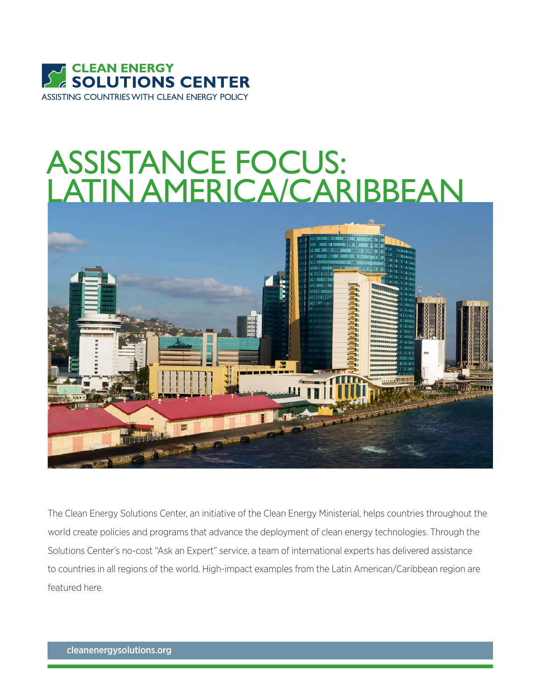

# ASSISTANCE FOCUS: LATIN AMERICA/CARIBBEAN



The Clean Energy Solutions Center, an initiative of the Clean Energy Ministerial, helps countries throughout the world create policies and programs that advance the deployment of clean energy technologies. Through the Solutions Center's no-cost "Ask an Expert" service, a team of international experts has delivered assistance to countries in all regions of the world. High-impact examples from the Latin American/Caribbean region are featured here.

cleanenergysolutions.org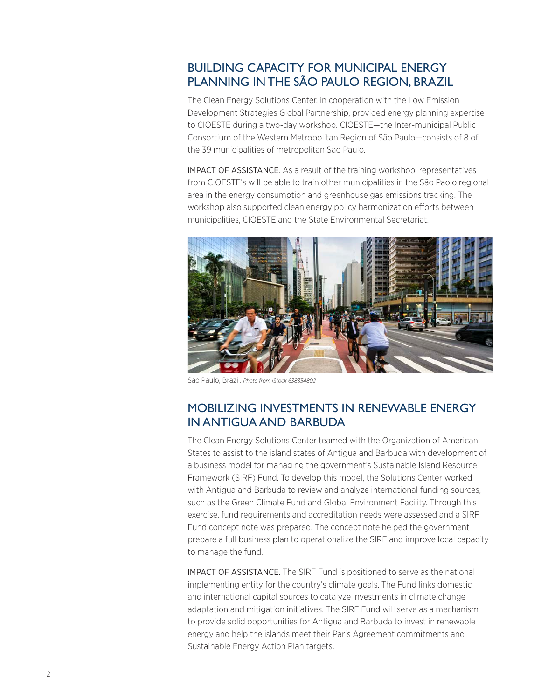# BUILDING CAPACITY FOR MUNICIPAL ENERGY PLANNING IN THE SÃO PAULO REGION, BRAZIL

The Clean Energy Solutions Center, in cooperation with the Low Emission Development Strategies Global Partnership, provided energy planning expertise to CIOESTE during a two-day workshop. CIOESTE—the Inter-municipal Public Consortium of the Western Metropolitan Region of São Paulo—consists of 8 of the 39 municipalities of metropolitan São Paulo.

IMPACT OF ASSISTANCE. As a result of the training workshop, representatives from CIOESTE's will be able to train other municipalities in the São Paolo regional area in the energy consumption and greenhouse gas emissions tracking. The workshop also supported clean energy policy harmonization efforts between municipalities, CIOESTE and the State Environmental Secretariat.



Sao Paulo, Brazil. *Photo from iStock 638354802*

### MOBILIZING INVESTMENTS IN RENEWABLE ENERGY IN ANTIGUA AND BARBUDA

The Clean Energy Solutions Center teamed with the Organization of American States to assist to the island states of Antigua and Barbuda with development of a business model for managing the government's Sustainable Island Resource Framework (SIRF) Fund. To develop this model, the Solutions Center worked with Antigua and Barbuda to review and analyze international funding sources, such as the Green Climate Fund and Global Environment Facility. Through this exercise, fund requirements and accreditation needs were assessed and a SIRF Fund concept note was prepared. The concept note helped the government prepare a full business plan to operationalize the SIRF and improve local capacity to manage the fund.

IMPACT OF ASSISTANCE. The SIRF Fund is positioned to serve as the national implementing entity for the country's climate goals. The Fund links domestic and international capital sources to catalyze investments in climate change adaptation and mitigation initiatives. The SIRF Fund will serve as a mechanism to provide solid opportunities for Antigua and Barbuda to invest in renewable energy and help the islands meet their Paris Agreement commitments and Sustainable Energy Action Plan targets.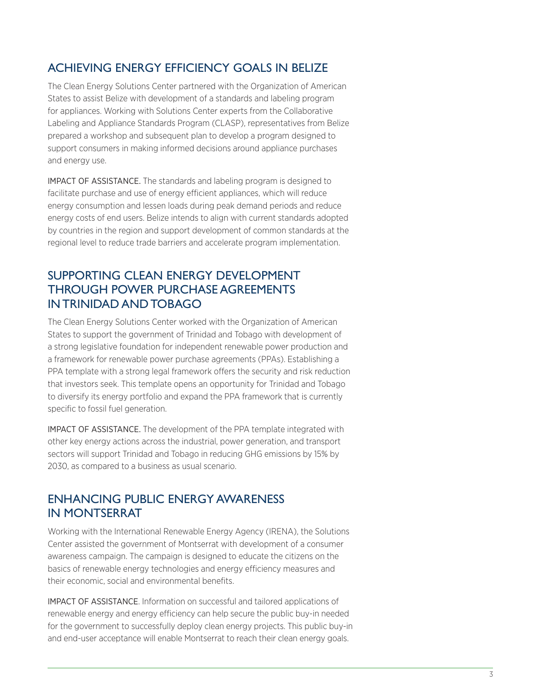## ACHIEVING ENERGY EFFICIENCY GOALS IN BELIZE

The Clean Energy Solutions Center partnered with the Organization of American States to assist Belize with development of a standards and labeling program for appliances. Working with Solutions Center experts from the Collaborative Labeling and Appliance Standards Program (CLASP), representatives from Belize prepared a workshop and subsequent plan to develop a program designed to support consumers in making informed decisions around appliance purchases and energy use.

IMPACT OF ASSISTANCE. The standards and labeling program is designed to facilitate purchase and use of energy efficient appliances, which will reduce energy consumption and lessen loads during peak demand periods and reduce energy costs of end users. Belize intends to align with current standards adopted by countries in the region and support development of common standards at the regional level to reduce trade barriers and accelerate program implementation.

## SUPPORTING CLEAN ENERGY DEVELOPMENT THROUGH POWER PURCHASE AGREEMENTS IN TRINIDAD AND TOBAGO

The Clean Energy Solutions Center worked with the Organization of American States to support the government of Trinidad and Tobago with development of a strong legislative foundation for independent renewable power production and a framework for renewable power purchase agreements (PPAs). Establishing a PPA template with a strong legal framework offers the security and risk reduction that investors seek. This template opens an opportunity for Trinidad and Tobago to diversify its energy portfolio and expand the PPA framework that is currently specific to fossil fuel generation.

IMPACT OF ASSISTANCE. The development of the PPA template integrated with other key energy actions across the industrial, power generation, and transport sectors will support Trinidad and Tobago in reducing GHG emissions by 15% by 2030, as compared to a business as usual scenario.

### ENHANCING PUBLIC ENERGY AWARENESS IN MONTSERRAT

Working with the International Renewable Energy Agency (IRENA), the Solutions Center assisted the government of Montserrat with development of a consumer awareness campaign. The campaign is designed to educate the citizens on the basics of renewable energy technologies and energy efficiency measures and their economic, social and environmental benefits.

IMPACT OF ASSISTANCE. Information on successful and tailored applications of renewable energy and energy efficiency can help secure the public buy-in needed for the government to successfully deploy clean energy projects. This public buy-in and end-user acceptance will enable Montserrat to reach their clean energy goals.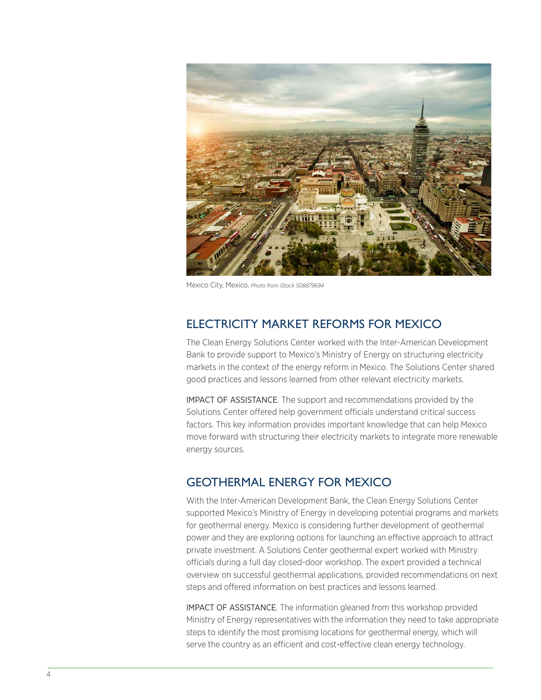

Mexico City, Mexico. *Photo from iStock 508879694*

## ELECTRICITY MARKET REFORMS FOR MEXICO

The Clean Energy Solutions Center worked with the Inter-American Development Bank to provide support to Mexico's Ministry of Energy on structuring electricity markets in the context of the energy reform in Mexico. The Solutions Center shared good practices and lessons learned from other relevant electricity markets.

IMPACT OF ASSISTANCE. The support and recommendations provided by the Solutions Center offered help government officials understand critical success factors. This key information provides important knowledge that can help Mexico move forward with structuring their electricity markets to integrate more renewable energy sources.

## GEOTHERMAL ENERGY FOR MEXICO

With the Inter-American Development Bank, the Clean Energy Solutions Center supported Mexico's Ministry of Energy in developing potential programs and markets for geothermal energy. Mexico is considering further development of geothermal power and they are exploring options for launching an effective approach to attract private investment. A Solutions Center geothermal expert worked with Ministry officials during a full day closed-door workshop. The expert provided a technical overview on successful geothermal applications, provided recommendations on next steps and offered information on best practices and lessons learned.

IMPACT OF ASSISTANCE. The information gleaned from this workshop provided Ministry of Energy representatives with the information they need to take appropriate steps to identify the most promising locations for geothermal energy, which will serve the country as an efficient and cost-effective clean energy technology.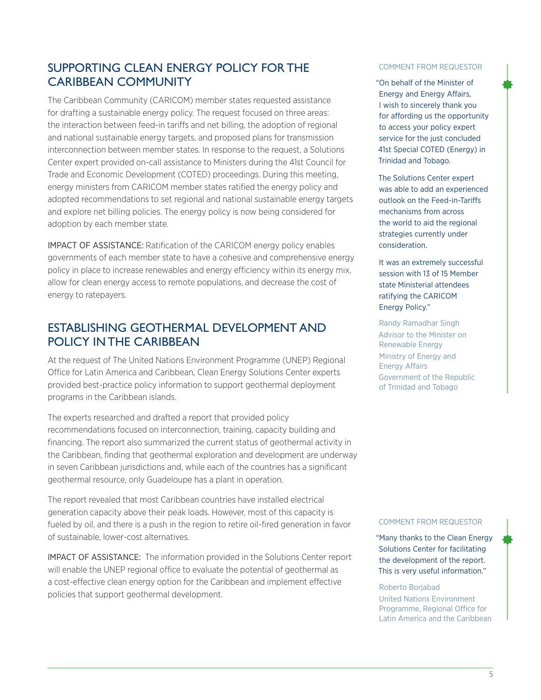# SUPPORTING CLEAN ENERGY POLICY FOR THE CARIBBEAN COMMUNITY

The Caribbean Community (CARICOM) member states requested assistance for drafting a sustainable energy policy. The request focused on three areas: the interaction between feed-in tariffs and net billing, the adoption of regional and national sustainable energy targets, and proposed plans for transmission interconnection between member states. In response to the request, a Solutions Center expert provided on-call assistance to Ministers during the 41st Council for Trade and Economic Development (COTED) proceedings. During this meeting, energy ministers from CARICOM member states ratified the energy policy and adopted recommendations to set regional and national sustainable energy targets and explore net billing policies. The energy policy is now being considered for adoption by each member state.

IMPACT OF ASSISTANCE: Ratification of the CARICOM energy policy enables governments of each member state to have a cohesive and comprehensive energy policy in place to increase renewables and energy efficiency within its energy mix, allow for clean energy access to remote populations, and decrease the cost of energy to ratepayers.

## ESTABLISHING GEOTHERMAL DEVELOPMENT AND POLICY IN THE CARIBBEAN

At the request of The United Nations Environment Programme (UNEP) Regional Office for Latin America and Caribbean, Clean Energy Solutions Center experts provided best-practice policy information to support geothermal deployment programs in the Caribbean islands.

The experts researched and drafted a report that provided policy recommendations focused on interconnection, training, capacity building and financing. The report also summarized the current status of geothermal activity in the Caribbean, finding that geothermal exploration and development are underway in seven Caribbean jurisdictions and, while each of the countries has a significant geothermal resource, only Guadeloupe has a plant in operation.

The report revealed that most Caribbean countries have installed electrical generation capacity above their peak loads. However, most of this capacity is fueled by oil, and there is a push in the region to retire oil-fired generation in favor of sustainable, lower-cost alternatives.

IMPACT OF ASSISTANCE: The information provided in the Solutions Center report will enable the UNEP regional office to evaluate the potential of geothermal as a cost-effective clean energy option for the Caribbean and implement effective policies that support geothermal development.

#### COMMENT FROM REQUESTOR

"On behalf of the Minister of Energy and Energy Affairs, I wish to sincerely thank you for affording us the opportunity to access your policy expert service for the just concluded 41st Special COTED (Energy) in Trinidad and Tobago.

The Solutions Center expert was able to add an experienced outlook on the Feed-in-Tariffs mechanisms from across the world to aid the regional strategies currently under consideration.

It was an extremely successful session with 13 of 15 Member state Ministerial attendees ratifying the CARICOM Energy Policy."

Randy Ramadhar Singh Advisor to the Minister on Renewable Energy Ministry of Energy and Energy Affairs Government of the Republic of Trinidad and Tobago

#### COMMENT FROM REQUESTOR

"Many thanks to the Clean Energy Solutions Center for facilitating the development of the report. This is very useful information."

#### Roberto Borjabad

United Nations Environment Programme, Regional Office for Latin America and the Caribbean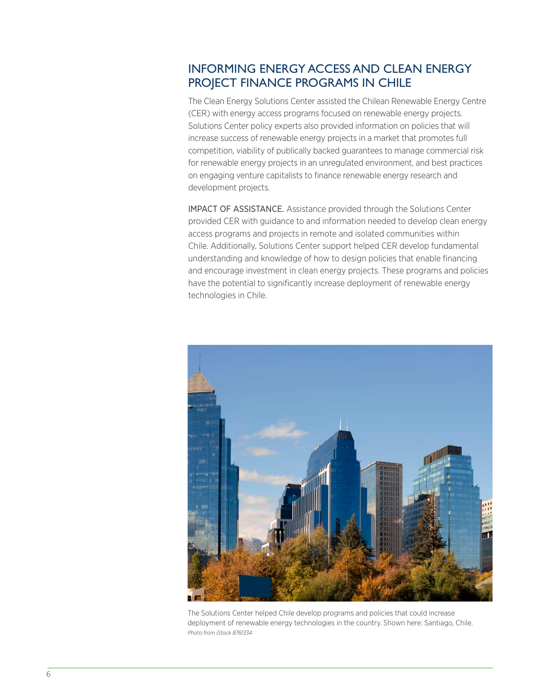# INFORMING ENERGY ACCESS AND CLEAN ENERGY PROJECT FINANCE PROGRAMS IN CHILE

The Clean Energy Solutions Center assisted the Chilean Renewable Energy Centre (CER) with energy access programs focused on renewable energy projects. Solutions Center policy experts also provided information on policies that will increase success of renewable energy projects in a market that promotes full competition, viability of publically backed guarantees to manage commercial risk for renewable energy projects in an unregulated environment, and best practices on engaging venture capitalists to finance renewable energy research and development projects.

IMPACT OF ASSISTANCE. Assistance provided through the Solutions Center provided CER with guidance to and information needed to develop clean energy access programs and projects in remote and isolated communities within Chile. Additionally, Solutions Center support helped CER develop fundamental understanding and knowledge of how to design policies that enable financing and encourage investment in clean energy projects. These programs and policies have the potential to significantly increase deployment of renewable energy technologies in Chile.



The Solutions Center helped Chile develop programs and policies that could increase deployment of renewable energy technologies in the country. Shown here: Santiago, Chile. *Photo from iStock 8761334*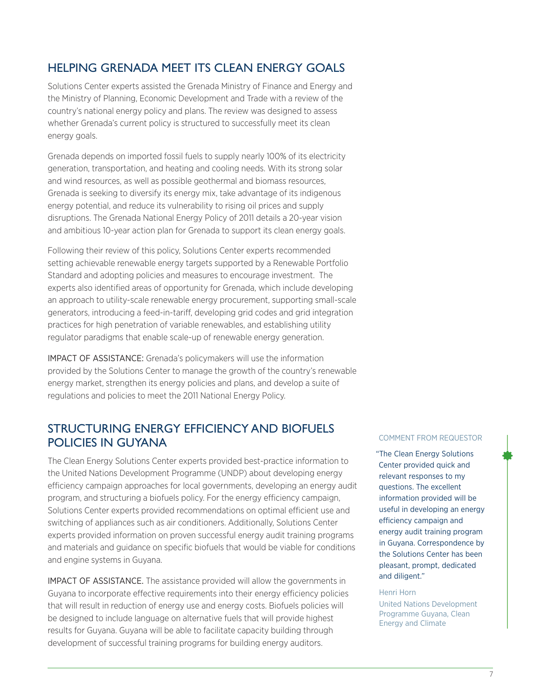# HELPING GRENADA MEET ITS CLEAN ENERGY GOALS

Solutions Center experts assisted the Grenada Ministry of Finance and Energy and the Ministry of Planning, Economic Development and Trade with a review of the country's national energy policy and plans. The review was designed to assess whether Grenada's current policy is structured to successfully meet its clean energy goals.

Grenada depends on imported fossil fuels to supply nearly 100% of its electricity generation, transportation, and heating and cooling needs. With its strong solar and wind resources, as well as possible geothermal and biomass resources, Grenada is seeking to diversify its energy mix, take advantage of its indigenous energy potential, and reduce its vulnerability to rising oil prices and supply disruptions. The Grenada National Energy Policy of 2011 details a 20-year vision and ambitious 10-year action plan for Grenada to support its clean energy goals.

Following their review of this policy, Solutions Center experts recommended setting achievable renewable energy targets supported by a Renewable Portfolio Standard and adopting policies and measures to encourage investment. The experts also identified areas of opportunity for Grenada, which include developing an approach to utility-scale renewable energy procurement, supporting small-scale generators, introducing a feed-in-tariff, developing grid codes and grid integration practices for high penetration of variable renewables, and establishing utility regulator paradigms that enable scale-up of renewable energy generation.

IMPACT OF ASSISTANCE: Grenada's policymakers will use the information provided by the Solutions Center to manage the growth of the country's renewable energy market, strengthen its energy policies and plans, and develop a suite of regulations and policies to meet the 2011 National Energy Policy.

### STRUCTURING ENERGY EFFICIENCY AND BIOFUELS POLICIES IN GUYANA

The Clean Energy Solutions Center experts provided best-practice information to the United Nations Development Programme (UNDP) about developing energy efficiency campaign approaches for local governments, developing an energy audit program, and structuring a biofuels policy. For the energy efficiency campaign, Solutions Center experts provided recommendations on optimal efficient use and switching of appliances such as air conditioners. Additionally, Solutions Center experts provided information on proven successful energy audit training programs and materials and guidance on specific biofuels that would be viable for conditions and engine systems in Guyana.

IMPACT OF ASSISTANCE. The assistance provided will allow the governments in Guyana to incorporate effective requirements into their energy efficiency policies that will result in reduction of energy use and energy costs. Biofuels policies will be designed to include language on alternative fuels that will provide highest results for Guyana. Guyana will be able to facilitate capacity building through development of successful training programs for building energy auditors.

#### COMMENT FROM REQUESTOR

"The Clean Energy Solutions Center provided quick and relevant responses to my questions. The excellent information provided will be useful in developing an energy efficiency campaign and energy audit training program in Guyana. Correspondence by the Solutions Center has been pleasant, prompt, dedicated and diligent."

#### Henri Horn

United Nations Development Programme Guyana, Clean Energy and Climate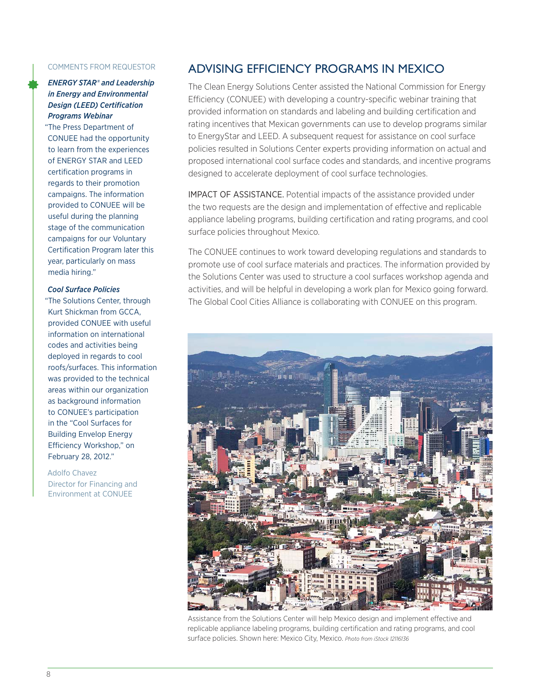#### COMMENTS FROM REQUESTOR

#### *ENERGY STAR® and Leadership in Energy and Environmental Design (LEED) Certification Programs Webinar*

"The Press Department of CONUEE had the opportunity to learn from the experiences of ENERGY STAR and LEED certification programs in regards to their promotion campaigns. The information provided to CONUEE will be useful during the planning stage of the communication campaigns for our Voluntary Certification Program later this year, particularly on mass media hiring."

#### *Cool Surface Policies*

"The Solutions Center, through Kurt Shickman from GCCA, provided CONUEE with useful information on international codes and activities being deployed in regards to cool roofs/surfaces. This information was provided to the technical areas within our organization as background information to CONUEE's participation in the "Cool Surfaces for Building Envelop Energy Efficiency Workshop," on February 28, 2012."

#### Adolfo Chavez Director for Financing and Environment at CONUEE

## ADVISING EFFICIENCY PROGRAMS IN MEXICO

The Clean Energy Solutions Center assisted the National Commission for Energy Efficiency (CONUEE) with developing a country-specific webinar training that provided information on standards and labeling and building certification and rating incentives that Mexican governments can use to develop programs similar to EnergyStar and LEED. A subsequent request for assistance on cool surface policies resulted in Solutions Center experts providing information on actual and proposed international cool surface codes and standards, and incentive programs designed to accelerate deployment of cool surface technologies.

IMPACT OF ASSISTANCE. Potential impacts of the assistance provided under the two requests are the design and implementation of effective and replicable appliance labeling programs, building certification and rating programs, and cool surface policies throughout Mexico.

The CONUEE continues to work toward developing regulations and standards to promote use of cool surface materials and practices. The information provided by the Solutions Center was used to structure a cool surfaces workshop agenda and activities, and will be helpful in developing a work plan for Mexico going forward. The Global Cool Cities Alliance is collaborating with CONUEE on this program.



Assistance from the Solutions Center will help Mexico design and implement effective and replicable appliance labeling programs, building certification and rating programs, and cool surface policies. Shown here: Mexico City, Mexico. *Photo from iStock 12116136*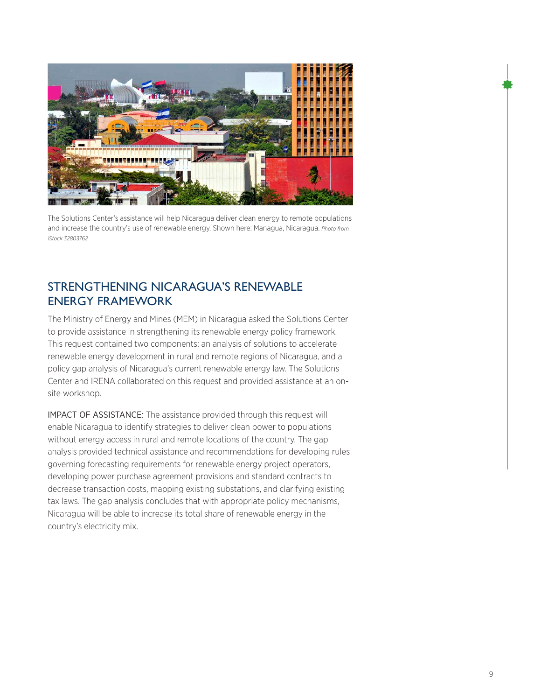

The Solutions Center's assistance will help Nicaragua deliver clean energy to remote populations and increase the country's use of renewable energy. Shown here: Managua, Nicaragua. *Photo from iStock 32803762*

## STRENGTHENING NICARAGUA'S RENEWABLE ENERGY FRAMEWORK

The Ministry of Energy and Mines (MEM) in Nicaragua asked the Solutions Center to provide assistance in strengthening its renewable energy policy framework. This request contained two components: an analysis of solutions to accelerate renewable energy development in rural and remote regions of Nicaragua, and a policy gap analysis of Nicaragua's current renewable energy law. The Solutions Center and IRENA collaborated on this request and provided assistance at an onsite workshop.

IMPACT OF ASSISTANCE: The assistance provided through this request will enable Nicaragua to identify strategies to deliver clean power to populations without energy access in rural and remote locations of the country. The gap analysis provided technical assistance and recommendations for developing rules governing forecasting requirements for renewable energy project operators, developing power purchase agreement provisions and standard contracts to decrease transaction costs, mapping existing substations, and clarifying existing tax laws. The gap analysis concludes that with appropriate policy mechanisms, Nicaragua will be able to increase its total share of renewable energy in the country's electricity mix.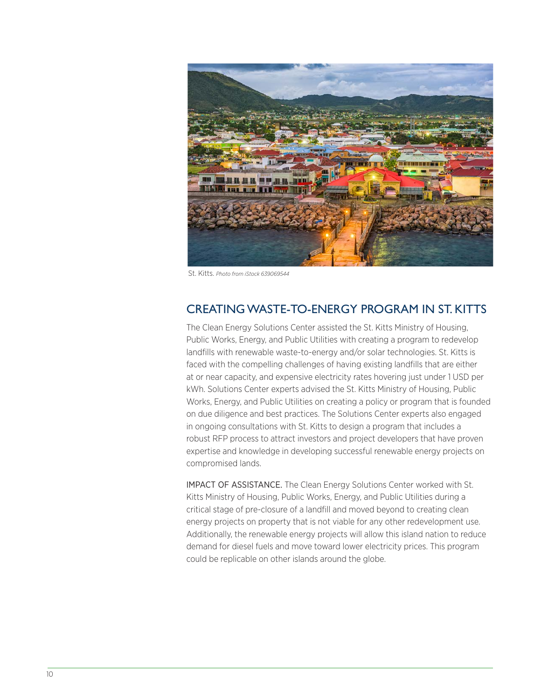

St. Kitts. *Photo from iStock 639069544*

## CREATING WASTE-TO-ENERGY PROGRAM IN ST. KITTS

The Clean Energy Solutions Center assisted the St. Kitts Ministry of Housing, Public Works, Energy, and Public Utilities with creating a program to redevelop landfills with renewable waste-to-energy and/or solar technologies. St. Kitts is faced with the compelling challenges of having existing landfills that are either at or near capacity, and expensive electricity rates hovering just under 1 USD per kWh. Solutions Center experts advised the St. Kitts Ministry of Housing, Public Works, Energy, and Public Utilities on creating a policy or program that is founded on due diligence and best practices. The Solutions Center experts also engaged in ongoing consultations with St. Kitts to design a program that includes a robust RFP process to attract investors and project developers that have proven expertise and knowledge in developing successful renewable energy projects on compromised lands.

IMPACT OF ASSISTANCE. The Clean Energy Solutions Center worked with St. Kitts Ministry of Housing, Public Works, Energy, and Public Utilities during a critical stage of pre-closure of a landfill and moved beyond to creating clean energy projects on property that is not viable for any other redevelopment use. Additionally, the renewable energy projects will allow this island nation to reduce demand for diesel fuels and move toward lower electricity prices. This program could be replicable on other islands around the globe.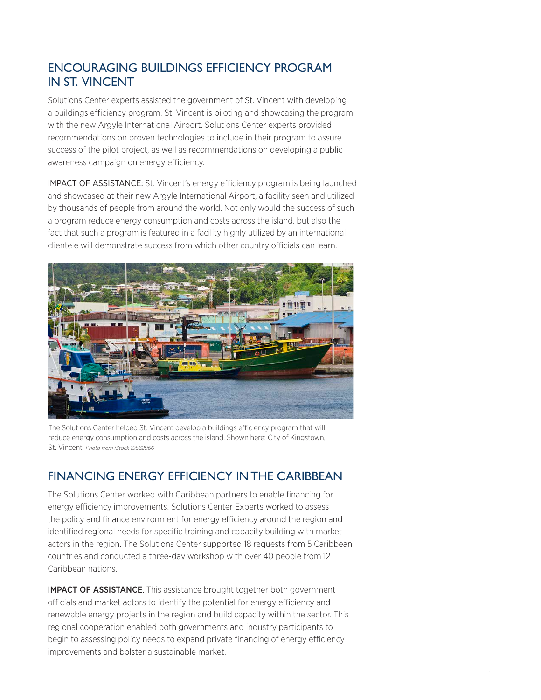# ENCOURAGING BUILDINGS EFFICIENCY PROGRAM IN ST. VINCENT

Solutions Center experts assisted the government of St. Vincent with developing a buildings efficiency program. St. Vincent is piloting and showcasing the program with the new Argyle International Airport. Solutions Center experts provided recommendations on proven technologies to include in their program to assure success of the pilot project, as well as recommendations on developing a public awareness campaign on energy efficiency.

IMPACT OF ASSISTANCE: St. Vincent's energy efficiency program is being launched and showcased at their new Argyle International Airport, a facility seen and utilized by thousands of people from around the world. Not only would the success of such a program reduce energy consumption and costs across the island, but also the fact that such a program is featured in a facility highly utilized by an international clientele will demonstrate success from which other country officials can learn.



The Solutions Center helped St. Vincent develop a buildings efficiency program that will reduce energy consumption and costs across the island. Shown here: City of Kingstown, St. Vincent. *Photo from iStock 19562966*

# FINANCING ENERGY EFFICIENCY IN THE CARIBBEAN

The Solutions Center worked with Caribbean partners to enable financing for energy efficiency improvements. Solutions Center Experts worked to assess the policy and finance environment for energy efficiency around the region and identified regional needs for specific training and capacity building with market actors in the region. The Solutions Center supported 18 requests from 5 Caribbean countries and conducted a three-day workshop with over 40 people from 12 Caribbean nations.

**IMPACT OF ASSISTANCE**. This assistance brought together both government officials and market actors to identify the potential for energy efficiency and renewable energy projects in the region and build capacity within the sector. This regional cooperation enabled both governments and industry participants to begin to assessing policy needs to expand private financing of energy efficiency improvements and bolster a sustainable market.